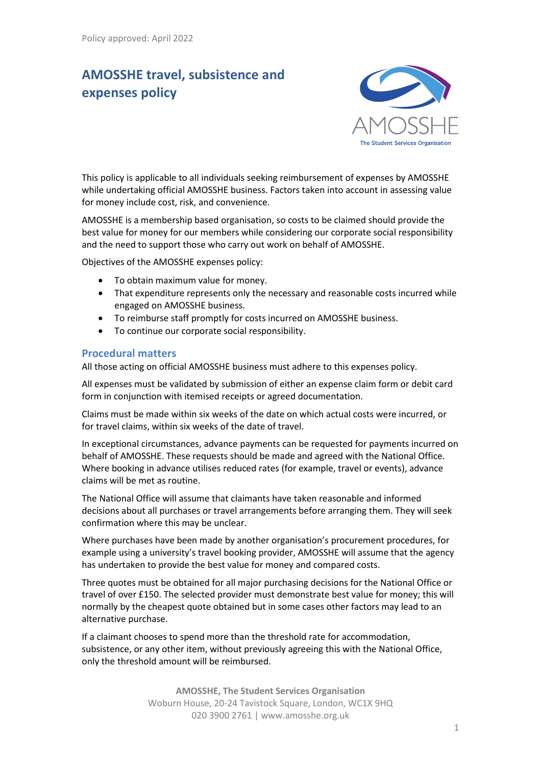# **AMOSSHE travel, subsistence and expenses policy**



This policy is applicable to all individuals seeking reimbursement of expenses by AMOSSHE while undertaking official AMOSSHE business. Factors taken into account in assessing value for money include cost, risk, and convenience.

AMOSSHE is a membership based organisation, so costs to be claimed should provide the best value for money for our members while considering our corporate social responsibility and the need to support those who carry out work on behalf of AMOSSHE.

Objectives of the AMOSSHE expenses policy:

- To obtain maximum value for money.
- That expenditure represents only the necessary and reasonable costs incurred while engaged on AMOSSHE business.
- To reimburse staff promptly for costs incurred on AMOSSHE business.
- To continue our corporate social responsibility.

#### **Procedural matters**

All those acting on official AMOSSHE business must adhere to this expenses policy.

All expenses must be validated by submission of either an expense claim form or debit card form in conjunction with itemised receipts or agreed documentation.

Claims must be made within six weeks of the date on which actual costs were incurred, or for travel claims, within six weeks of the date of travel.

In exceptional circumstances, advance payments can be requested for payments incurred on behalf of AMOSSHE. These requests should be made and agreed with the National Office. Where booking in advance utilises reduced rates (for example, travel or events), advance claims will be met as routine.

The National Office will assume that claimants have taken reasonable and informed decisions about all purchases or travel arrangements before arranging them. They will seek confirmation where this may be unclear.

Where purchases have been made by another organisation's procurement procedures, for example using a university's travel booking provider, AMOSSHE will assume that the agency has undertaken to provide the best value for money and compared costs.

Three quotes must be obtained for all major purchasing decisions for the National Office or travel of over £150. The selected provider must demonstrate best value for money; this will normally by the cheapest quote obtained but in some cases other factors may lead to an alternative purchase.

If a claimant chooses to spend more than the threshold rate for accommodation, subsistence, or any other item, without previously agreeing this with the National Office, only the threshold amount will be reimbursed.

> **AMOSSHE, The Student Services Organisation** Woburn House, 20-24 Tavistock Square, London, WC1X 9HQ 020 3900 2761 | www.amosshe.org.uk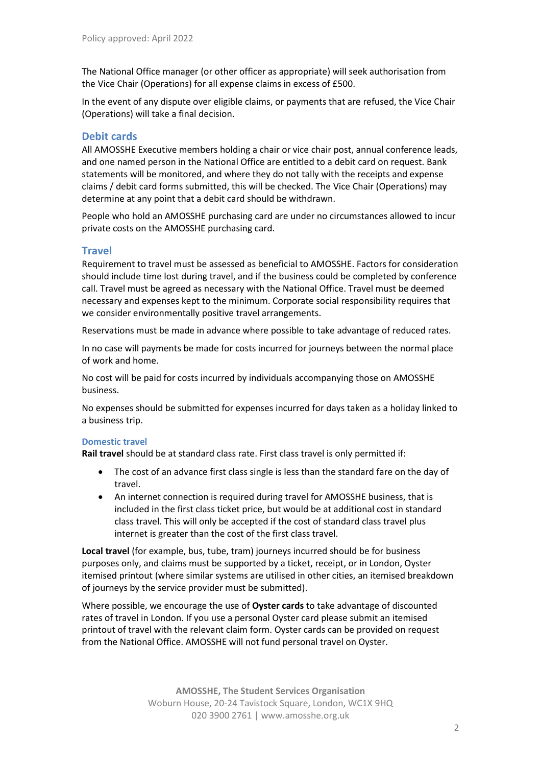The National Office manager (or other officer as appropriate) will seek authorisation from the Vice Chair (Operations) for all expense claims in excess of £500.

In the event of any dispute over eligible claims, or payments that are refused, the Vice Chair (Operations) will take a final decision.

## **Debit cards**

All AMOSSHE Executive members holding a chair or vice chair post, annual conference leads, and one named person in the National Office are entitled to a debit card on request. Bank statements will be monitored, and where they do not tally with the receipts and expense claims / debit card forms submitted, this will be checked. The Vice Chair (Operations) may determine at any point that a debit card should be withdrawn.

People who hold an AMOSSHE purchasing card are under no circumstances allowed to incur private costs on the AMOSSHE purchasing card.

## **Travel**

Requirement to travel must be assessed as beneficial to AMOSSHE. Factors for consideration should include time lost during travel, and if the business could be completed by conference call. Travel must be agreed as necessary with the National Office. Travel must be deemed necessary and expenses kept to the minimum. Corporate social responsibility requires that we consider environmentally positive travel arrangements.

Reservations must be made in advance where possible to take advantage of reduced rates.

In no case will payments be made for costs incurred for journeys between the normal place of work and home.

No cost will be paid for costs incurred by individuals accompanying those on AMOSSHE business.

No expenses should be submitted for expenses incurred for days taken as a holiday linked to a business trip.

#### **Domestic travel**

**Rail travel** should be at standard class rate. First class travel is only permitted if:

- The cost of an advance first class single is less than the standard fare on the day of travel.
- An internet connection is required during travel for AMOSSHE business, that is included in the first class ticket price, but would be at additional cost in standard class travel. This will only be accepted if the cost of standard class travel plus internet is greater than the cost of the first class travel.

**Local travel** (for example, bus, tube, tram) journeys incurred should be for business purposes only, and claims must be supported by a ticket, receipt, or in London, Oyster itemised printout (where similar systems are utilised in other cities, an itemised breakdown of journeys by the service provider must be submitted).

Where possible, we encourage the use of **Oyster cards** to take advantage of discounted rates of travel in London. If you use a personal Oyster card please submit an itemised printout of travel with the relevant claim form. Oyster cards can be provided on request from the National Office. AMOSSHE will not fund personal travel on Oyster.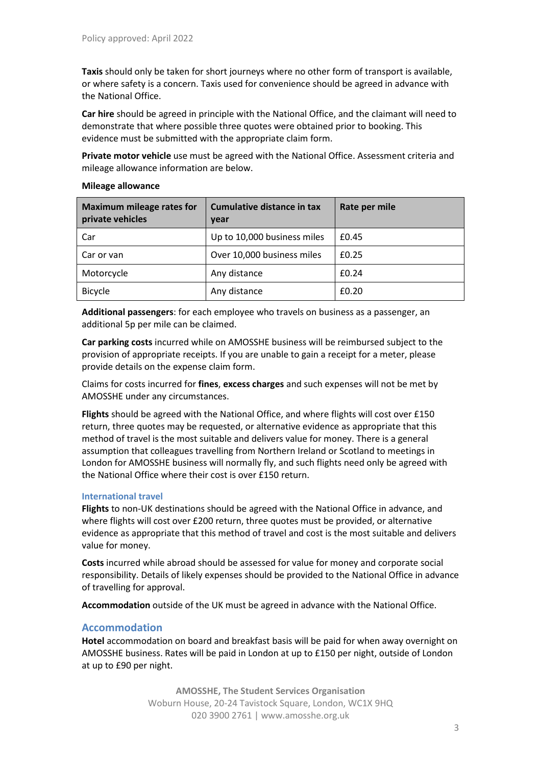**Taxis** should only be taken for short journeys where no other form of transport is available, or where safety is a concern. Taxis used for convenience should be agreed in advance with the National Office.

**Car hire** should be agreed in principle with the National Office, and the claimant will need to demonstrate that where possible three quotes were obtained prior to booking. This evidence must be submitted with the appropriate claim form.

**Private motor vehicle** use must be agreed with the National Office. Assessment criteria and mileage allowance information are below.

#### **Mileage allowance**

| <b>Maximum mileage rates for</b><br>private vehicles | Cumulative distance in tax<br>year | Rate per mile |
|------------------------------------------------------|------------------------------------|---------------|
| Car                                                  | Up to 10,000 business miles        | £0.45         |
| Car or van                                           | Over 10,000 business miles         | £0.25         |
| Motorcycle                                           | Any distance                       | £0.24         |
| <b>Bicycle</b>                                       | Any distance                       | £0.20         |

**Additional passengers**: for each employee who travels on business as a passenger, an additional 5p per mile can be claimed.

**Car parking costs** incurred while on AMOSSHE business will be reimbursed subject to the provision of appropriate receipts. If you are unable to gain a receipt for a meter, please provide details on the expense claim form.

Claims for costs incurred for **fines**, **excess charges** and such expenses will not be met by AMOSSHE under any circumstances.

**Flights** should be agreed with the National Office, and where flights will cost over £150 return, three quotes may be requested, or alternative evidence as appropriate that this method of travel is the most suitable and delivers value for money. There is a general assumption that colleagues travelling from Northern Ireland or Scotland to meetings in London for AMOSSHE business will normally fly, and such flights need only be agreed with the National Office where their cost is over £150 return.

#### **International travel**

**Flights** to non-UK destinations should be agreed with the National Office in advance, and where flights will cost over £200 return, three quotes must be provided, or alternative evidence as appropriate that this method of travel and cost is the most suitable and delivers value for money.

**Costs** incurred while abroad should be assessed for value for money and corporate social responsibility. Details of likely expenses should be provided to the National Office in advance of travelling for approval.

**Accommodation** outside of the UK must be agreed in advance with the National Office.

#### **Accommodation**

**Hotel** accommodation on board and breakfast basis will be paid for when away overnight on AMOSSHE business. Rates will be paid in London at up to £150 per night, outside of London at up to £90 per night.

> **AMOSSHE, The Student Services Organisation** Woburn House, 20-24 Tavistock Square, London, WC1X 9HQ 020 3900 2761 | www.amosshe.org.uk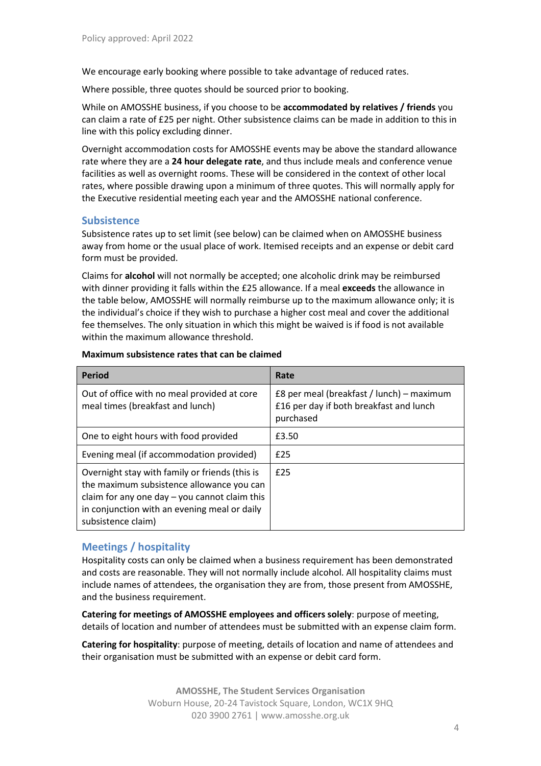We encourage early booking where possible to take advantage of reduced rates.

Where possible, three quotes should be sourced prior to booking.

While on AMOSSHE business, if you choose to be **accommodated by relatives / friends** you can claim a rate of £25 per night. Other subsistence claims can be made in addition to this in line with this policy excluding dinner.

Overnight accommodation costs for AMOSSHE events may be above the standard allowance rate where they are a **24 hour delegate rate**, and thus include meals and conference venue facilities as well as overnight rooms. These will be considered in the context of other local rates, where possible drawing upon a minimum of three quotes. This will normally apply for the Executive residential meeting each year and the AMOSSHE national conference.

#### **Subsistence**

Subsistence rates up to set limit (see below) can be claimed when on AMOSSHE business away from home or the usual place of work. Itemised receipts and an expense or debit card form must be provided.

Claims for **alcohol** will not normally be accepted; one alcoholic drink may be reimbursed with dinner providing it falls within the £25 allowance. If a meal **exceeds** the allowance in the table below, AMOSSHE will normally reimburse up to the maximum allowance only; it is the individual's choice if they wish to purchase a higher cost meal and cover the additional fee themselves. The only situation in which this might be waived is if food is not available within the maximum allowance threshold.

| <b>Period</b>                                                                                                                                                                                                        | Rate                                                                                              |
|----------------------------------------------------------------------------------------------------------------------------------------------------------------------------------------------------------------------|---------------------------------------------------------------------------------------------------|
| Out of office with no meal provided at core<br>meal times (breakfast and lunch)                                                                                                                                      | £8 per meal (breakfast / lunch) – maximum<br>£16 per day if both breakfast and lunch<br>purchased |
| One to eight hours with food provided                                                                                                                                                                                | £3.50                                                                                             |
| Evening meal (if accommodation provided)                                                                                                                                                                             | £25                                                                                               |
| Overnight stay with family or friends (this is<br>the maximum subsistence allowance you can<br>claim for any one day $-$ you cannot claim this<br>in conjunction with an evening meal or daily<br>subsistence claim) | £25                                                                                               |

#### **Maximum subsistence rates that can be claimed**

## **Meetings / hospitality**

Hospitality costs can only be claimed when a business requirement has been demonstrated and costs are reasonable. They will not normally include alcohol. All hospitality claims must include names of attendees, the organisation they are from, those present from AMOSSHE, and the business requirement.

**Catering for meetings of AMOSSHE employees and officers solely**: purpose of meeting, details of location and number of attendees must be submitted with an expense claim form.

**Catering for hospitality**: purpose of meeting, details of location and name of attendees and their organisation must be submitted with an expense or debit card form.